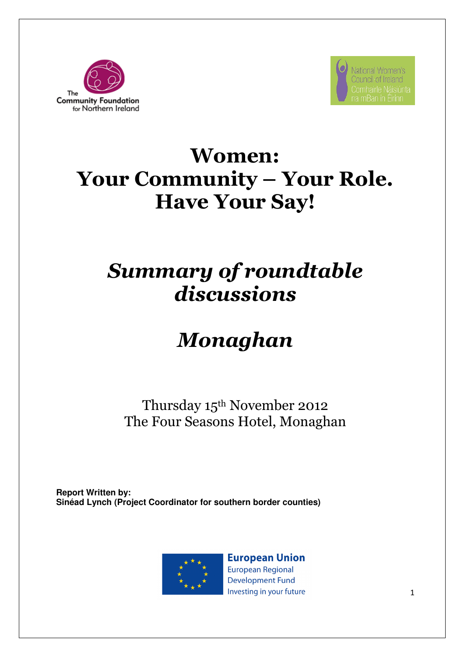



## Women: Your Community – Your Role. Have Your Say!

## Summary of roundtable discussions

# Monaghan

Thursday 15th November 2012 The Four Seasons Hotel, Monaghan

**Report Written by: Sinéad Lynch (Project Coordinator for southern border counties)** 



**European Union European Regional Development Fund** Investing in your future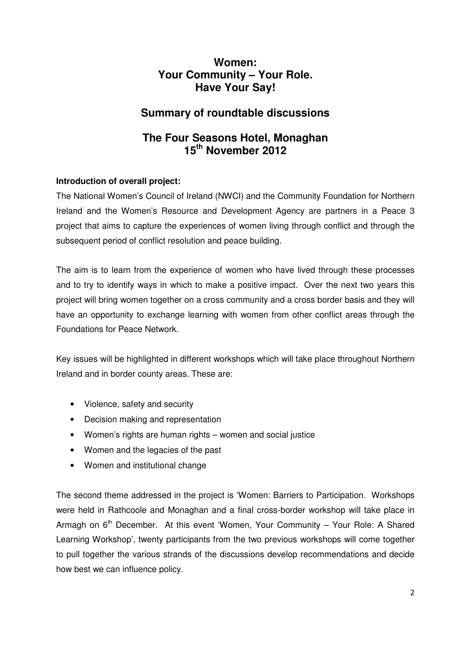## **Women: Your Community – Your Role. Have Your Say!**

## **Summary of roundtable discussions**

## **The Four Seasons Hotel, Monaghan 15th November 2012**

#### **Introduction of overall project:**

The National Women's Council of Ireland (NWCI) and the Community Foundation for Northern Ireland and the Women's Resource and Development Agency are partners in a Peace 3 project that aims to capture the experiences of women living through conflict and through the subsequent period of conflict resolution and peace building.

The aim is to learn from the experience of women who have lived through these processes and to try to identify ways in which to make a positive impact. Over the next two years this project will bring women together on a cross community and a cross border basis and they will have an opportunity to exchange learning with women from other conflict areas through the Foundations for Peace Network.

Key issues will be highlighted in different workshops which will take place throughout Northern Ireland and in border county areas. These are:

- Violence, safety and security
- Decision making and representation
- Women's rights are human rights women and social justice
- Women and the legacies of the past
- Women and institutional change

The second theme addressed in the project is 'Women: Barriers to Participation. Workshops were held in Rathcoole and Monaghan and a final cross-border workshop will take place in Armagh on  $6<sup>th</sup>$  December. At this event 'Women, Your Community – Your Role: A Shared Learning Workshop', twenty participants from the two previous workshops will come together to pull together the various strands of the discussions develop recommendations and decide how best we can influence policy.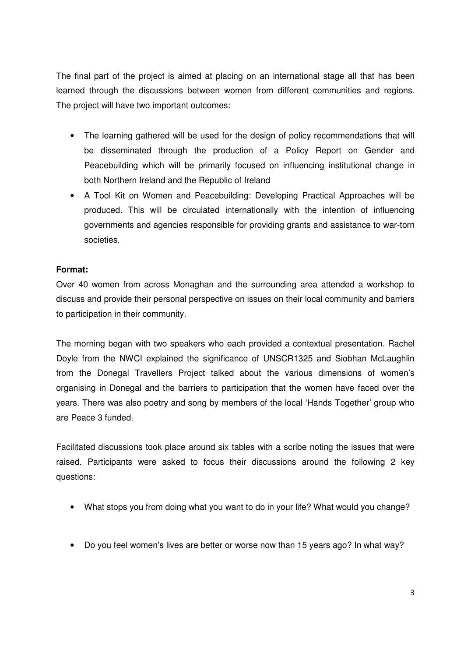The final part of the project is aimed at placing on an international stage all that has been learned through the discussions between women from different communities and regions. The project will have two important outcomes:

- The learning gathered will be used for the design of policy recommendations that will be disseminated through the production of a Policy Report on Gender and Peacebuilding which will be primarily focused on influencing institutional change in both Northern Ireland and the Republic of Ireland
- A Tool Kit on Women and Peacebuilding: Developing Practical Approaches will be produced. This will be circulated internationally with the intention of influencing governments and agencies responsible for providing grants and assistance to war-torn societies.

#### **Format:**

Over 40 women from across Monaghan and the surrounding area attended a workshop to discuss and provide their personal perspective on issues on their local community and barriers to participation in their community.

The morning began with two speakers who each provided a contextual presentation. Rachel Doyle from the NWCI explained the significance of UNSCR1325 and Siobhan McLaughlin from the Donegal Travellers Project talked about the various dimensions of women's organising in Donegal and the barriers to participation that the women have faced over the years. There was also poetry and song by members of the local 'Hands Together' group who are Peace 3 funded.

Facilitated discussions took place around six tables with a scribe noting the issues that were raised. Participants were asked to focus their discussions around the following 2 key questions:

- What stops you from doing what you want to do in your life? What would you change?
- Do you feel women's lives are better or worse now than 15 years ago? In what way?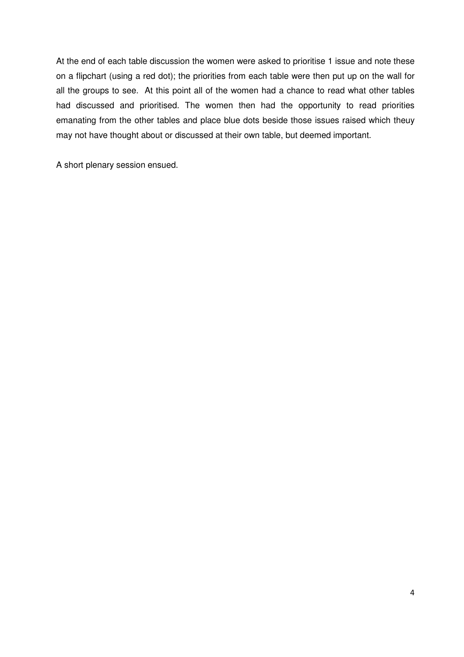At the end of each table discussion the women were asked to prioritise 1 issue and note these on a flipchart (using a red dot); the priorities from each table were then put up on the wall for all the groups to see. At this point all of the women had a chance to read what other tables had discussed and prioritised. The women then had the opportunity to read priorities emanating from the other tables and place blue dots beside those issues raised which theuy may not have thought about or discussed at their own table, but deemed important.

A short plenary session ensued.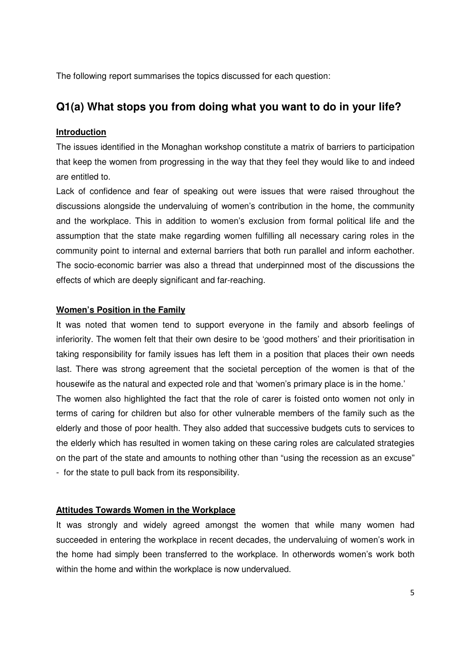The following report summarises the topics discussed for each question:

## **Q1(a) What stops you from doing what you want to do in your life?**

#### **Introduction**

The issues identified in the Monaghan workshop constitute a matrix of barriers to participation that keep the women from progressing in the way that they feel they would like to and indeed are entitled to.

Lack of confidence and fear of speaking out were issues that were raised throughout the discussions alongside the undervaluing of women's contribution in the home, the community and the workplace. This in addition to women's exclusion from formal political life and the assumption that the state make regarding women fulfilling all necessary caring roles in the community point to internal and external barriers that both run parallel and inform eachother. The socio-economic barrier was also a thread that underpinned most of the discussions the effects of which are deeply significant and far-reaching.

#### **Women's Position in the Family**

It was noted that women tend to support everyone in the family and absorb feelings of inferiority. The women felt that their own desire to be 'good mothers' and their prioritisation in taking responsibility for family issues has left them in a position that places their own needs last. There was strong agreement that the societal perception of the women is that of the housewife as the natural and expected role and that 'women's primary place is in the home.'

The women also highlighted the fact that the role of carer is foisted onto women not only in terms of caring for children but also for other vulnerable members of the family such as the elderly and those of poor health. They also added that successive budgets cuts to services to the elderly which has resulted in women taking on these caring roles are calculated strategies on the part of the state and amounts to nothing other than "using the recession as an excuse" - for the state to pull back from its responsibility.

#### **Attitudes Towards Women in the Workplace**

It was strongly and widely agreed amongst the women that while many women had succeeded in entering the workplace in recent decades, the undervaluing of women's work in the home had simply been transferred to the workplace. In otherwords women's work both within the home and within the workplace is now undervalued.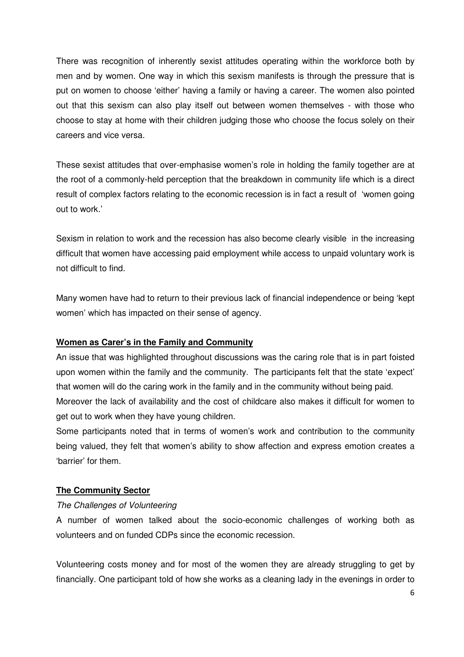There was recognition of inherently sexist attitudes operating within the workforce both by men and by women. One way in which this sexism manifests is through the pressure that is put on women to choose 'either' having a family or having a career. The women also pointed out that this sexism can also play itself out between women themselves - with those who choose to stay at home with their children judging those who choose the focus solely on their careers and vice versa.

These sexist attitudes that over-emphasise women's role in holding the family together are at the root of a commonly-held perception that the breakdown in community life which is a direct result of complex factors relating to the economic recession is in fact a result of 'women going out to work.'

Sexism in relation to work and the recession has also become clearly visible in the increasing difficult that women have accessing paid employment while access to unpaid voluntary work is not difficult to find.

Many women have had to return to their previous lack of financial independence or being 'kept women' which has impacted on their sense of agency.

#### **Women as Carer's in the Family and Community**

An issue that was highlighted throughout discussions was the caring role that is in part foisted upon women within the family and the community. The participants felt that the state 'expect' that women will do the caring work in the family and in the community without being paid. Moreover the lack of availability and the cost of childcare also makes it difficult for women to get out to work when they have young children.

Some participants noted that in terms of women's work and contribution to the community being valued, they felt that women's ability to show affection and express emotion creates a 'barrier' for them.

#### **The Community Sector**

#### The Challenges of Volunteering

A number of women talked about the socio-economic challenges of working both as volunteers and on funded CDPs since the economic recession.

Volunteering costs money and for most of the women they are already struggling to get by financially. One participant told of how she works as a cleaning lady in the evenings in order to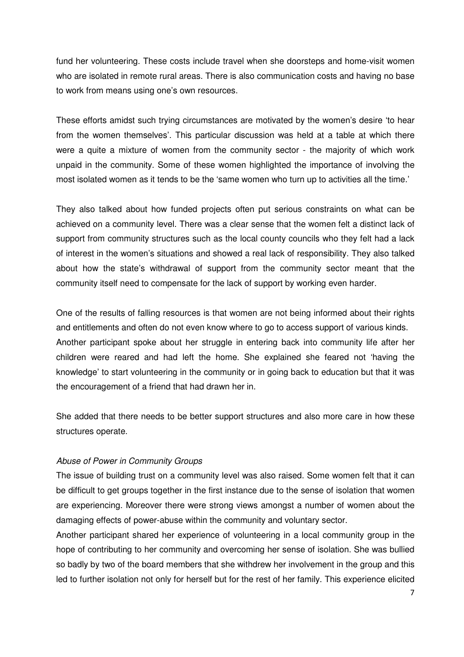fund her volunteering. These costs include travel when she doorsteps and home-visit women who are isolated in remote rural areas. There is also communication costs and having no base to work from means using one's own resources.

These efforts amidst such trying circumstances are motivated by the women's desire 'to hear from the women themselves'. This particular discussion was held at a table at which there were a quite a mixture of women from the community sector - the majority of which work unpaid in the community. Some of these women highlighted the importance of involving the most isolated women as it tends to be the 'same women who turn up to activities all the time.'

They also talked about how funded projects often put serious constraints on what can be achieved on a community level. There was a clear sense that the women felt a distinct lack of support from community structures such as the local county councils who they felt had a lack of interest in the women's situations and showed a real lack of responsibility. They also talked about how the state's withdrawal of support from the community sector meant that the community itself need to compensate for the lack of support by working even harder.

One of the results of falling resources is that women are not being informed about their rights and entitlements and often do not even know where to go to access support of various kinds. Another participant spoke about her struggle in entering back into community life after her children were reared and had left the home. She explained she feared not 'having the knowledge' to start volunteering in the community or in going back to education but that it was the encouragement of a friend that had drawn her in.

She added that there needs to be better support structures and also more care in how these structures operate.

#### Abuse of Power in Community Groups

The issue of building trust on a community level was also raised. Some women felt that it can be difficult to get groups together in the first instance due to the sense of isolation that women are experiencing. Moreover there were strong views amongst a number of women about the damaging effects of power-abuse within the community and voluntary sector.

Another participant shared her experience of volunteering in a local community group in the hope of contributing to her community and overcoming her sense of isolation. She was bullied so badly by two of the board members that she withdrew her involvement in the group and this led to further isolation not only for herself but for the rest of her family. This experience elicited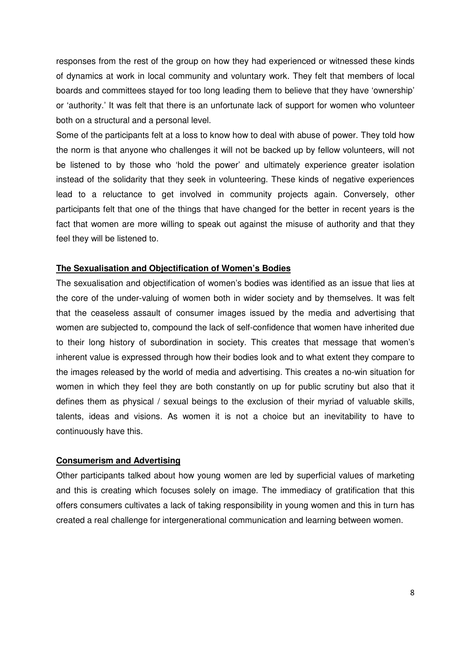responses from the rest of the group on how they had experienced or witnessed these kinds of dynamics at work in local community and voluntary work. They felt that members of local boards and committees stayed for too long leading them to believe that they have 'ownership' or 'authority.' It was felt that there is an unfortunate lack of support for women who volunteer both on a structural and a personal level.

Some of the participants felt at a loss to know how to deal with abuse of power. They told how the norm is that anyone who challenges it will not be backed up by fellow volunteers, will not be listened to by those who 'hold the power' and ultimately experience greater isolation instead of the solidarity that they seek in volunteering. These kinds of negative experiences lead to a reluctance to get involved in community projects again. Conversely, other participants felt that one of the things that have changed for the better in recent years is the fact that women are more willing to speak out against the misuse of authority and that they feel they will be listened to.

#### **The Sexualisation and Objectification of Women's Bodies**

The sexualisation and objectification of women's bodies was identified as an issue that lies at the core of the under-valuing of women both in wider society and by themselves. It was felt that the ceaseless assault of consumer images issued by the media and advertising that women are subjected to, compound the lack of self-confidence that women have inherited due to their long history of subordination in society. This creates that message that women's inherent value is expressed through how their bodies look and to what extent they compare to the images released by the world of media and advertising. This creates a no-win situation for women in which they feel they are both constantly on up for public scrutiny but also that it defines them as physical / sexual beings to the exclusion of their myriad of valuable skills, talents, ideas and visions. As women it is not a choice but an inevitability to have to continuously have this.

#### **Consumerism and Advertising**

Other participants talked about how young women are led by superficial values of marketing and this is creating which focuses solely on image. The immediacy of gratification that this offers consumers cultivates a lack of taking responsibility in young women and this in turn has created a real challenge for intergenerational communication and learning between women.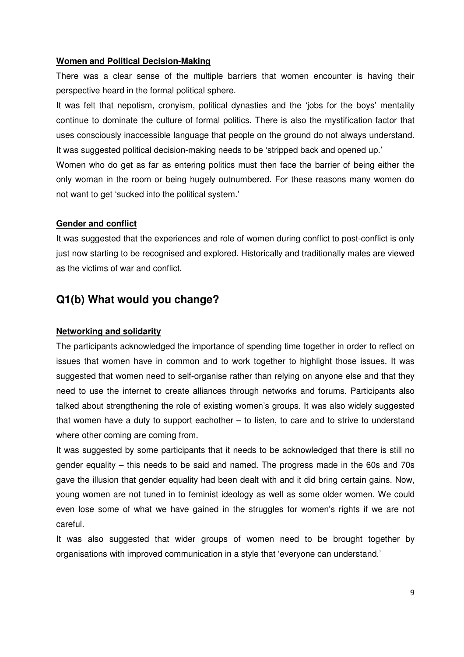#### **Women and Political Decision-Making**

There was a clear sense of the multiple barriers that women encounter is having their perspective heard in the formal political sphere.

It was felt that nepotism, cronyism, political dynasties and the 'jobs for the boys' mentality continue to dominate the culture of formal politics. There is also the mystification factor that uses consciously inaccessible language that people on the ground do not always understand. It was suggested political decision-making needs to be 'stripped back and opened up.'

Women who do get as far as entering politics must then face the barrier of being either the only woman in the room or being hugely outnumbered. For these reasons many women do not want to get 'sucked into the political system.'

#### **Gender and conflict**

It was suggested that the experiences and role of women during conflict to post-conflict is only just now starting to be recognised and explored. Historically and traditionally males are viewed as the victims of war and conflict.

### **Q1(b) What would you change?**

#### **Networking and solidarity**

The participants acknowledged the importance of spending time together in order to reflect on issues that women have in common and to work together to highlight those issues. It was suggested that women need to self-organise rather than relying on anyone else and that they need to use the internet to create alliances through networks and forums. Participants also talked about strengthening the role of existing women's groups. It was also widely suggested that women have a duty to support eachother – to listen, to care and to strive to understand where other coming are coming from.

It was suggested by some participants that it needs to be acknowledged that there is still no gender equality – this needs to be said and named. The progress made in the 60s and 70s gave the illusion that gender equality had been dealt with and it did bring certain gains. Now, young women are not tuned in to feminist ideology as well as some older women. We could even lose some of what we have gained in the struggles for women's rights if we are not careful.

It was also suggested that wider groups of women need to be brought together by organisations with improved communication in a style that 'everyone can understand.'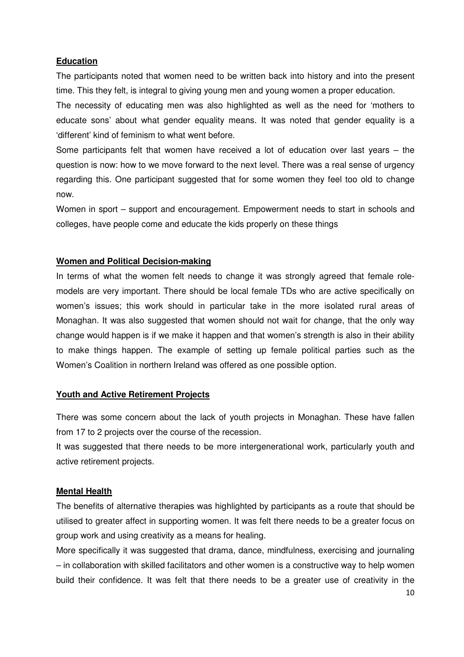#### **Education**

The participants noted that women need to be written back into history and into the present time. This they felt, is integral to giving young men and young women a proper education.

The necessity of educating men was also highlighted as well as the need for 'mothers to educate sons' about what gender equality means. It was noted that gender equality is a 'different' kind of feminism to what went before.

Some participants felt that women have received a lot of education over last years – the question is now: how to we move forward to the next level. There was a real sense of urgency regarding this. One participant suggested that for some women they feel too old to change now.

Women in sport – support and encouragement. Empowerment needs to start in schools and colleges, have people come and educate the kids properly on these things

#### **Women and Political Decision-making**

In terms of what the women felt needs to change it was strongly agreed that female rolemodels are very important. There should be local female TDs who are active specifically on women's issues; this work should in particular take in the more isolated rural areas of Monaghan. It was also suggested that women should not wait for change, that the only way change would happen is if we make it happen and that women's strength is also in their ability to make things happen. The example of setting up female political parties such as the Women's Coalition in northern Ireland was offered as one possible option.

#### **Youth and Active Retirement Projects**

There was some concern about the lack of youth projects in Monaghan. These have fallen from 17 to 2 projects over the course of the recession.

It was suggested that there needs to be more intergenerational work, particularly youth and active retirement projects.

#### **Mental Health**

The benefits of alternative therapies was highlighted by participants as a route that should be utilised to greater affect in supporting women. It was felt there needs to be a greater focus on group work and using creativity as a means for healing.

More specifically it was suggested that drama, dance, mindfulness, exercising and journaling – in collaboration with skilled facilitators and other women is a constructive way to help women build their confidence. It was felt that there needs to be a greater use of creativity in the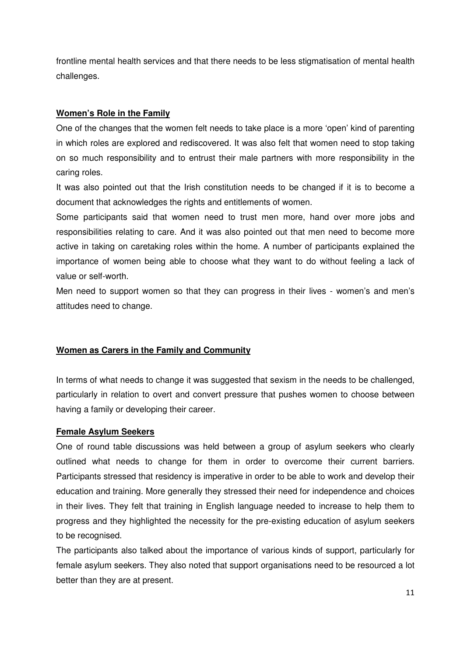frontline mental health services and that there needs to be less stigmatisation of mental health challenges.

#### **Women's Role in the Family**

One of the changes that the women felt needs to take place is a more 'open' kind of parenting in which roles are explored and rediscovered. It was also felt that women need to stop taking on so much responsibility and to entrust their male partners with more responsibility in the caring roles.

It was also pointed out that the Irish constitution needs to be changed if it is to become a document that acknowledges the rights and entitlements of women.

Some participants said that women need to trust men more, hand over more jobs and responsibilities relating to care. And it was also pointed out that men need to become more active in taking on caretaking roles within the home. A number of participants explained the importance of women being able to choose what they want to do without feeling a lack of value or self-worth.

Men need to support women so that they can progress in their lives - women's and men's attitudes need to change.

#### **Women as Carers in the Family and Community**

In terms of what needs to change it was suggested that sexism in the needs to be challenged, particularly in relation to overt and convert pressure that pushes women to choose between having a family or developing their career.

#### **Female Asylum Seekers**

One of round table discussions was held between a group of asylum seekers who clearly outlined what needs to change for them in order to overcome their current barriers. Participants stressed that residency is imperative in order to be able to work and develop their education and training. More generally they stressed their need for independence and choices in their lives. They felt that training in English language needed to increase to help them to progress and they highlighted the necessity for the pre-existing education of asylum seekers to be recognised.

The participants also talked about the importance of various kinds of support, particularly for female asylum seekers. They also noted that support organisations need to be resourced a lot better than they are at present.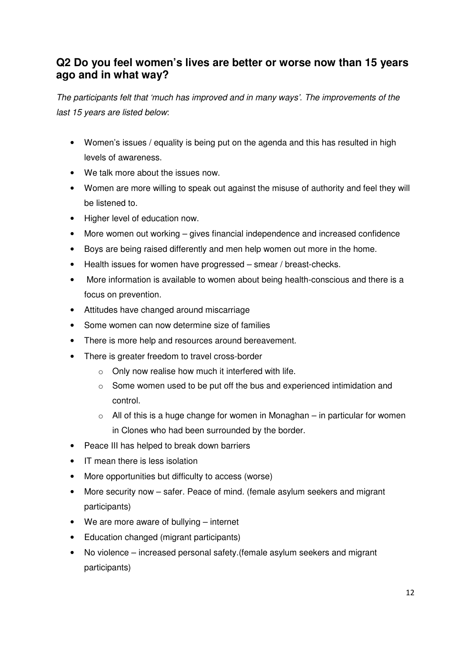## **Q2 Do you feel women's lives are better or worse now than 15 years ago and in what way?**

The participants felt that 'much has improved and in many ways'. The improvements of the last 15 years are listed below:

- Women's issues / equality is being put on the agenda and this has resulted in high levels of awareness.
- We talk more about the issues now.
- Women are more willing to speak out against the misuse of authority and feel they will be listened to.
- Higher level of education now.
- More women out working gives financial independence and increased confidence
- Boys are being raised differently and men help women out more in the home.
- Health issues for women have progressed smear / breast-checks.
- More information is available to women about being health-conscious and there is a focus on prevention.
- Attitudes have changed around miscarriage
- Some women can now determine size of families
- There is more help and resources around bereavement.
- There is greater freedom to travel cross-border
	- o Only now realise how much it interfered with life.
	- $\circ$  Some women used to be put off the bus and experienced intimidation and control.
	- $\circ$  All of this is a huge change for women in Monaghan in particular for women in Clones who had been surrounded by the border.
- Peace III has helped to break down barriers
- IT mean there is less isolation
- More opportunities but difficulty to access (worse)
- More security now safer. Peace of mind. (female asylum seekers and migrant participants)
- We are more aware of bullying internet
- Education changed (migrant participants)
- No violence increased personal safety.(female asylum seekers and migrant participants)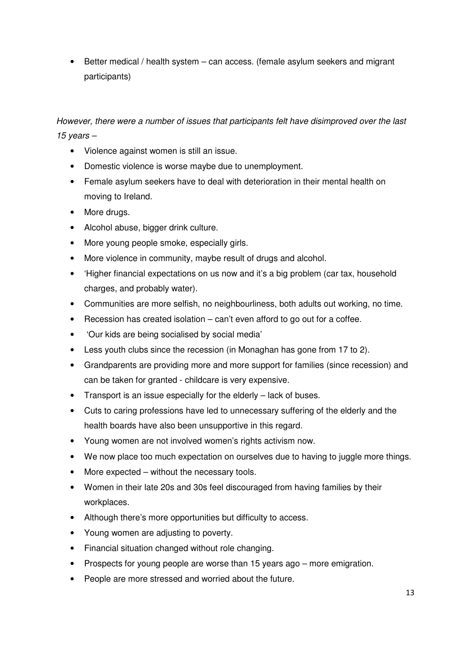• Better medical / health system – can access. (female asylum seekers and migrant participants)

However, there were a number of issues that participants felt have disimproved over the last 15 years  $-$ 

- Violence against women is still an issue.
- Domestic violence is worse maybe due to unemployment.
- Female asylum seekers have to deal with deterioration in their mental health on moving to Ireland.
- More drugs.
- Alcohol abuse, bigger drink culture.
- More young people smoke, especially girls.
- More violence in community, maybe result of drugs and alcohol.
- 'Higher financial expectations on us now and it's a big problem (car tax, household charges, and probably water).
- Communities are more selfish, no neighbourliness, both adults out working, no time.
- Recession has created isolation can't even afford to go out for a coffee.
- 'Our kids are being socialised by social media'
- Less youth clubs since the recession (in Monaghan has gone from 17 to 2).
- Grandparents are providing more and more support for families (since recession) and can be taken for granted - childcare is very expensive.
- Transport is an issue especially for the elderly lack of buses.
- Cuts to caring professions have led to unnecessary suffering of the elderly and the health boards have also been unsupportive in this regard.
- Young women are not involved women's rights activism now.
- We now place too much expectation on ourselves due to having to juggle more things.
- More expected without the necessary tools.
- Women in their late 20s and 30s feel discouraged from having families by their workplaces.
- Although there's more opportunities but difficulty to access.
- Young women are adjusting to poverty.
- Financial situation changed without role changing.
- Prospects for young people are worse than 15 years ago more emigration.
- People are more stressed and worried about the future.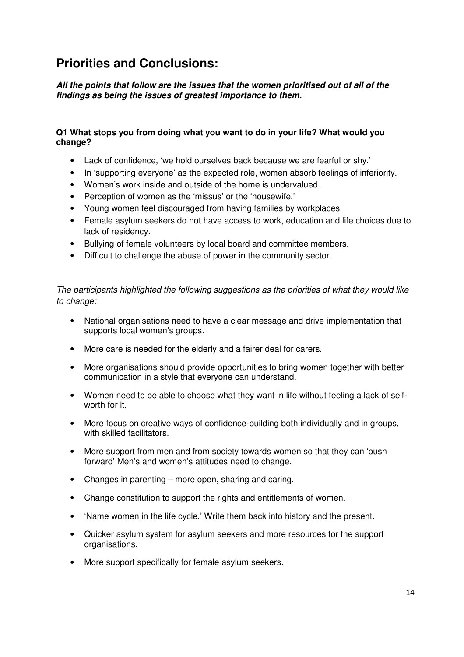## **Priorities and Conclusions:**

**All the points that follow are the issues that the women prioritised out of all of the findings as being the issues of greatest importance to them.**

#### **Q1 What stops you from doing what you want to do in your life? What would you change?**

- Lack of confidence, 'we hold ourselves back because we are fearful or shy.'
- In 'supporting everyone' as the expected role, women absorb feelings of inferiority.
- Women's work inside and outside of the home is undervalued.
- Perception of women as the 'missus' or the 'housewife.'
- Young women feel discouraged from having families by workplaces.
- Female asylum seekers do not have access to work, education and life choices due to lack of residency.
- Bullying of female volunteers by local board and committee members.
- Difficult to challenge the abuse of power in the community sector.

The participants highlighted the following suggestions as the priorities of what they would like to change:

- National organisations need to have a clear message and drive implementation that supports local women's groups.
- More care is needed for the elderly and a fairer deal for carers.
- More organisations should provide opportunities to bring women together with better communication in a style that everyone can understand.
- Women need to be able to choose what they want in life without feeling a lack of selfworth for it.
- More focus on creative ways of confidence-building both individually and in groups, with skilled facilitators.
- More support from men and from society towards women so that they can 'push forward' Men's and women's attitudes need to change.
- Changes in parenting more open, sharing and caring.
- Change constitution to support the rights and entitlements of women.
- 'Name women in the life cycle.' Write them back into history and the present.
- Quicker asylum system for asylum seekers and more resources for the support organisations.
- More support specifically for female asylum seekers.